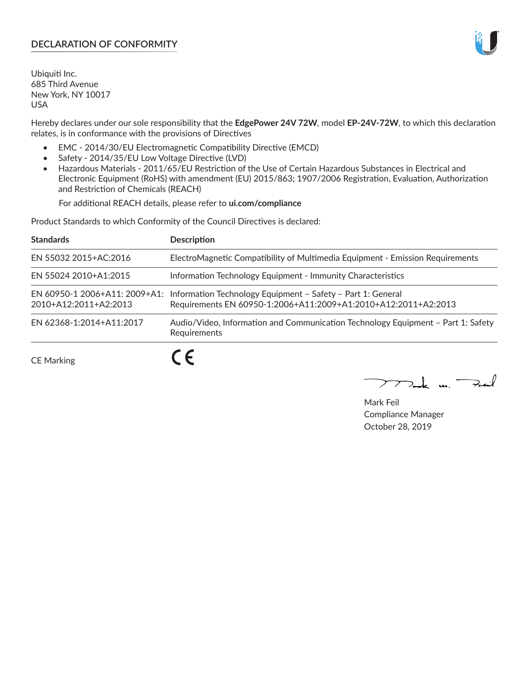# **DECLARATION OF CONFORMITY**

Ubiquiti Inc. 685 Third Avenue New York, NY 10017 USA

Hereby declares under our sole responsibility that the **EdgePower 24V 72W**, model **EP-24V-72W**, to which this declaration relates, is in conformance with the provisions of Directives

- EMC 2014/30/EU Electromagnetic Compatibility Directive (EMCD)
- Safety 2014/35/EU Low Voltage Directive (LVD)
- Hazardous Materials 2011/65/EU Restriction of the Use of Certain Hazardous Substances in Electrical and Electronic Equipment (RoHS) with amendment (EU) 2015/863; 1907/2006 Registration, Evaluation, Authorization and Restriction of Chemicals (REACH)

For additional REACH details, please refer to **ui.com/compliance**

Product Standards to which Conformity of the Council Directives is declared:

| <b>Standards</b>         | <b>Description</b>                                                                                                                                          |
|--------------------------|-------------------------------------------------------------------------------------------------------------------------------------------------------------|
| EN 55032 2015+AC:2016    | ElectroMagnetic Compatibility of Multimedia Equipment - Emission Requirements                                                                               |
| EN 55024 2010+A1:2015    | Information Technology Equipment - Immunity Characteristics                                                                                                 |
| 2010+A12:2011+A2:2013    | EN 60950-1 2006+A11: 2009+A1: Information Technology Equipment - Safety - Part 1: General<br>Requirements EN 60950-1:2006+A11:2009+A1:2010+A12:2011+A2:2013 |
| EN 62368-1:2014+A11:2017 | Audio/Video, Information and Communication Technology Equipment - Part 1: Safety<br>Requirements                                                            |
| <b>CE Marking</b>        |                                                                                                                                                             |

 $\sum_{n,k}$  in  $\longrightarrow$  $\mathop{\sum\mathrm{ }}$ 

Mark Feil Compliance Manager October 28, 2019

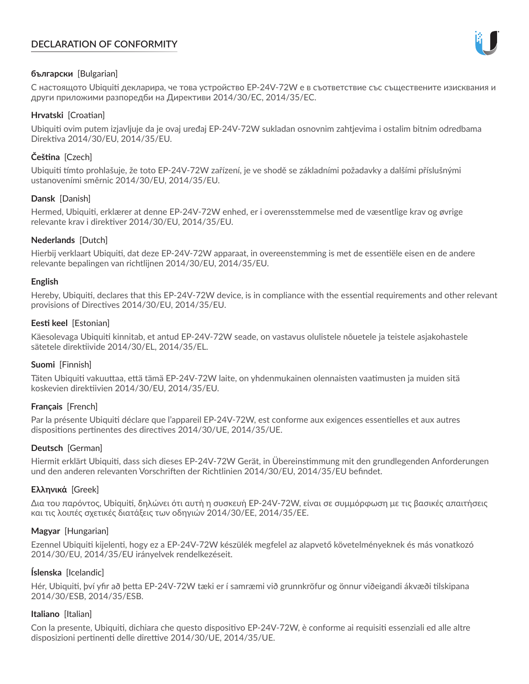# **DECLARATION OF CONFORMITY**



## **български** [Bulgarian]

С настоящото Ubiquiti декларира, че това устройство EP-24V-72W е в съответствие със съществените изисквания и други приложими разпоредби на Директиви 2014/30/ЕС, 2014/35/ЕС.

## **Hrvatski** [Croatian]

Ubiquiti ovim putem izjavljuje da je ovaj uređaj EP-24V-72W sukladan osnovnim zahtjevima i ostalim bitnim odredbama Direktiva 2014/30/EU, 2014/35/EU.

# **Čeština** [Czech]

Ubiquiti tímto prohlašuje, že toto EP-24V-72W zařízení, je ve shodě se základními požadavky a dalšími příslušnými ustanoveními směrnic 2014/30/EU, 2014/35/EU.

# **Dansk** [Danish]

Hermed, Ubiquiti, erklærer at denne EP-24V-72W enhed, er i overensstemmelse med de væsentlige krav og øvrige relevante krav i direktiver 2014/30/EU, 2014/35/EU.

# **Nederlands** [Dutch]

Hierbij verklaart Ubiquiti, dat deze EP-24V-72W apparaat, in overeenstemming is met de essentiële eisen en de andere relevante bepalingen van richtlijnen 2014/30/EU, 2014/35/EU.

## **English**

Hereby, Ubiquiti, declares that this EP-24V-72W device, is in compliance with the essential requirements and other relevant provisions of Directives 2014/30/EU, 2014/35/EU.

## **Eesti keel** [Estonian]

Käesolevaga Ubiquiti kinnitab, et antud EP-24V-72W seade, on vastavus olulistele nõuetele ja teistele asjakohastele sätetele direktiivide 2014/30/EL, 2014/35/EL.

## **Suomi** [Finnish]

Täten Ubiquiti vakuuttaa, että tämä EP-24V-72W laite, on yhdenmukainen olennaisten vaatimusten ja muiden sitä koskevien direktiivien 2014/30/EU, 2014/35/EU.

## **Français** [French]

Par la présente Ubiquiti déclare que l'appareil EP-24V-72W, est conforme aux exigences essentielles et aux autres dispositions pertinentes des directives 2014/30/UE, 2014/35/UE.

## **Deutsch** [German]

Hiermit erklärt Ubiquiti, dass sich dieses EP-24V-72W Gerät, in Übereinstimmung mit den grundlegenden Anforderungen und den anderen relevanten Vorschriften der Richtlinien 2014/30/EU, 2014/35/EU befindet.

## **Ελληνικά** [Greek]

Δια του παρόντος, Ubiquiti, δηλώνει ότι αυτή η συσκευή EP-24V-72W, είναι σε συμμόρφωση με τις βασικές απαιτήσεις και τις λοιπές σχετικές διατάξεις των οδηγιών 2014/30/EE, 2014/35/EE.

## **Magyar** [Hungarian]

Ezennel Ubiquiti kijelenti, hogy ez a EP-24V-72W készülék megfelel az alapvető követelményeknek és más vonatkozó 2014/30/EU, 2014/35/EU irányelvek rendelkezéseit.

## **Íslenska** [Icelandic]

Hér, Ubiquiti, því yfir að þetta EP-24V-72W tæki er í samræmi við grunnkröfur og önnur viðeigandi ákvæði tilskipana 2014/30/ESB, 2014/35/ESB.

## **Italiano** [Italian]

Con la presente, Ubiquiti, dichiara che questo dispositivo EP-24V-72W, è conforme ai requisiti essenziali ed alle altre disposizioni pertinenti delle direttive 2014/30/UE, 2014/35/UE.